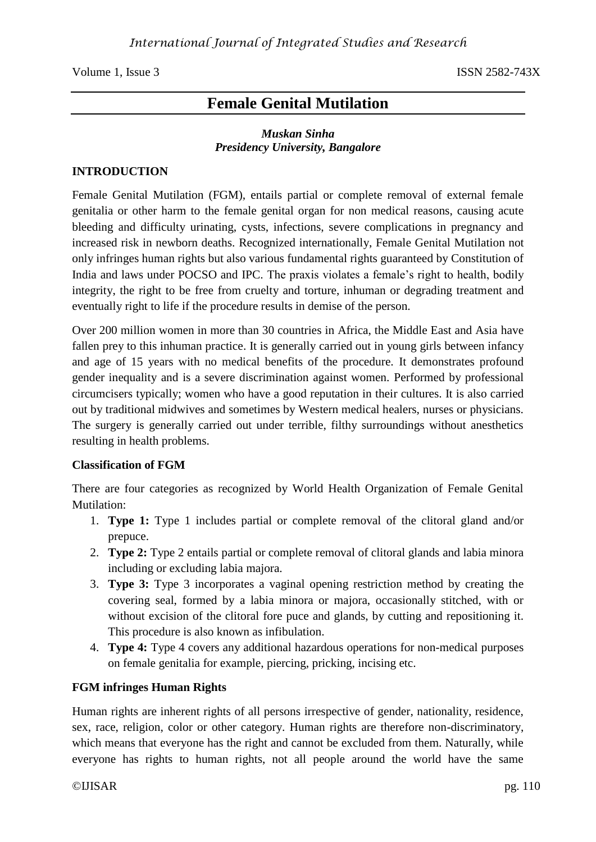Volume 1, Issue 3 ISSN 2582-743X

# **Female Genital Mutilation**

## *Muskan Sinha Presidency University, Bangalore*

#### **INTRODUCTION**

Female Genital Mutilation (FGM), entails partial or complete removal of external female genitalia or other harm to the female genital organ for non medical reasons, causing acute bleeding and difficulty urinating, cysts, infections, severe complications in pregnancy and increased risk in newborn deaths. Recognized internationally, Female Genital Mutilation not only infringes human rights but also various fundamental rights guaranteed by Constitution of India and laws under POCSO and IPC. The praxis violates a female's right to health, bodily integrity, the right to be free from cruelty and torture, inhuman or degrading treatment and eventually right to life if the procedure results in demise of the person.

Over 200 million women in more than 30 countries in Africa, the Middle East and Asia have fallen prey to this inhuman practice. It is generally carried out in young girls between infancy and age of 15 years with no medical benefits of the procedure. It demonstrates profound gender inequality and is a severe discrimination against women. Performed by professional circumcisers typically; women who have a good reputation in their cultures. It is also carried out by traditional midwives and sometimes by Western medical healers, nurses or physicians. The surgery is generally carried out under terrible, filthy surroundings without anesthetics resulting in health problems.

#### **Classification of FGM**

There are four categories as recognized by World Health Organization of Female Genital Mutilation:

- 1. **Type 1:** Type 1 includes partial or complete removal of the clitoral gland and/or prepuce.
- 2. **Type 2:** Type 2 entails partial or complete removal of clitoral glands and labia minora including or excluding labia majora.
- 3. **Type 3:** Type 3 incorporates a vaginal opening restriction method by creating the covering seal, formed by a labia minora or majora, occasionally stitched, with or without excision of the clitoral fore puce and glands, by cutting and repositioning it. This procedure is also known as infibulation.
- 4. **Type 4:** Type 4 covers any additional hazardous operations for non-medical purposes on female genitalia for example, piercing, pricking, incising etc.

## **FGM infringes Human Rights**

Human rights are inherent rights of all persons irrespective of gender, nationality, residence, sex, race, religion, color or other category. Human rights are therefore non-discriminatory, which means that everyone has the right and cannot be excluded from them. Naturally, while everyone has rights to human rights, not all people around the world have the same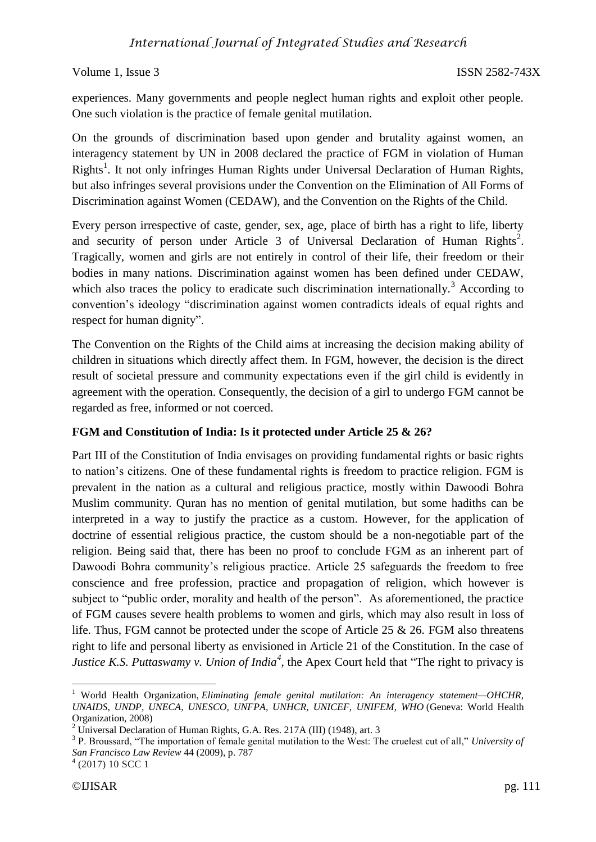Volume 1, Issue 3 ISSN 2582-743X

experiences. Many governments and people neglect human rights and exploit other people. One such violation is the practice of female genital mutilation.

On the grounds of discrimination based upon gender and brutality against women, an interagency statement by UN in 2008 declared the practice of FGM in violation of Human Rights<sup>1</sup>. It not only infringes Human Rights under Universal Declaration of Human Rights, but also infringes several provisions under the Convention on the Elimination of All Forms of Discrimination against Women (CEDAW), and the Convention on the Rights of the Child.

Every person irrespective of caste, gender, sex, age, place of birth has a right to life, liberty and security of person under Article  $3$  of Universal Declaration of Human Rights<sup>2</sup>. Tragically, women and girls are not entirely in control of their life, their freedom or their bodies in many nations. Discrimination against women has been defined under CEDAW, which also traces the policy to eradicate such discrimination internationally.<sup>3</sup> According to convention's ideology "discrimination against women contradicts ideals of equal rights and respect for human dignity".

The Convention on the Rights of the Child aims at increasing the decision making ability of children in situations which directly affect them. In FGM, however, the decision is the direct result of societal pressure and community expectations even if the girl child is evidently in agreement with the operation. Consequently, the decision of a girl to undergo FGM cannot be regarded as free, informed or not coerced.

## **FGM and Constitution of India: Is it protected under Article 25 & 26?**

Part III of the Constitution of India envisages on providing fundamental rights or basic rights to nation's citizens. One of these fundamental rights is freedom to practice religion. FGM is prevalent in the nation as a cultural and religious practice, mostly within Dawoodi Bohra Muslim community. Quran has no mention of genital mutilation, but some hadiths can be interpreted in a way to justify the practice as a custom. However, for the application of doctrine of essential religious practice, the custom should be a non-negotiable part of the religion. Being said that, there has been no proof to conclude FGM as an inherent part of Dawoodi Bohra community's religious practice. Article 25 safeguards the freedom to free conscience and free profession, practice and propagation of religion, which however is subject to "public order, morality and health of the person". As aforementioned, the practice of FGM causes severe health problems to women and girls, which may also result in loss of life. Thus, FGM cannot be protected under the scope of Article 25 & 26. FGM also threatens right to life and personal liberty as envisioned in Article 21 of the Constitution. In the case of *Justice K.S. Puttaswamy v. Union of India<sup>4</sup>*, the Apex Court held that "The right to privacy is

**.** 

<sup>&</sup>lt;sup>1</sup> World Health Organization, *Eliminating female genital mutilation: An interagency statement—OHCHR, UNAIDS, UNDP, UNECA, UNESCO, UNFPA, UNHCR, UNICEF, UNIFEM, WHO* (Geneva: World Health Organization, 2008)

 $2$  Universal Declaration of Human Rights, G.A. Res. 217A (III) (1948), art. 3

<sup>3</sup> P. Broussard, "The importation of female genital mutilation to the West: The cruelest cut of all," *University of San Francisco Law Review* 44 (2009), p. 787

 $4(2017)$  10 SCC 1